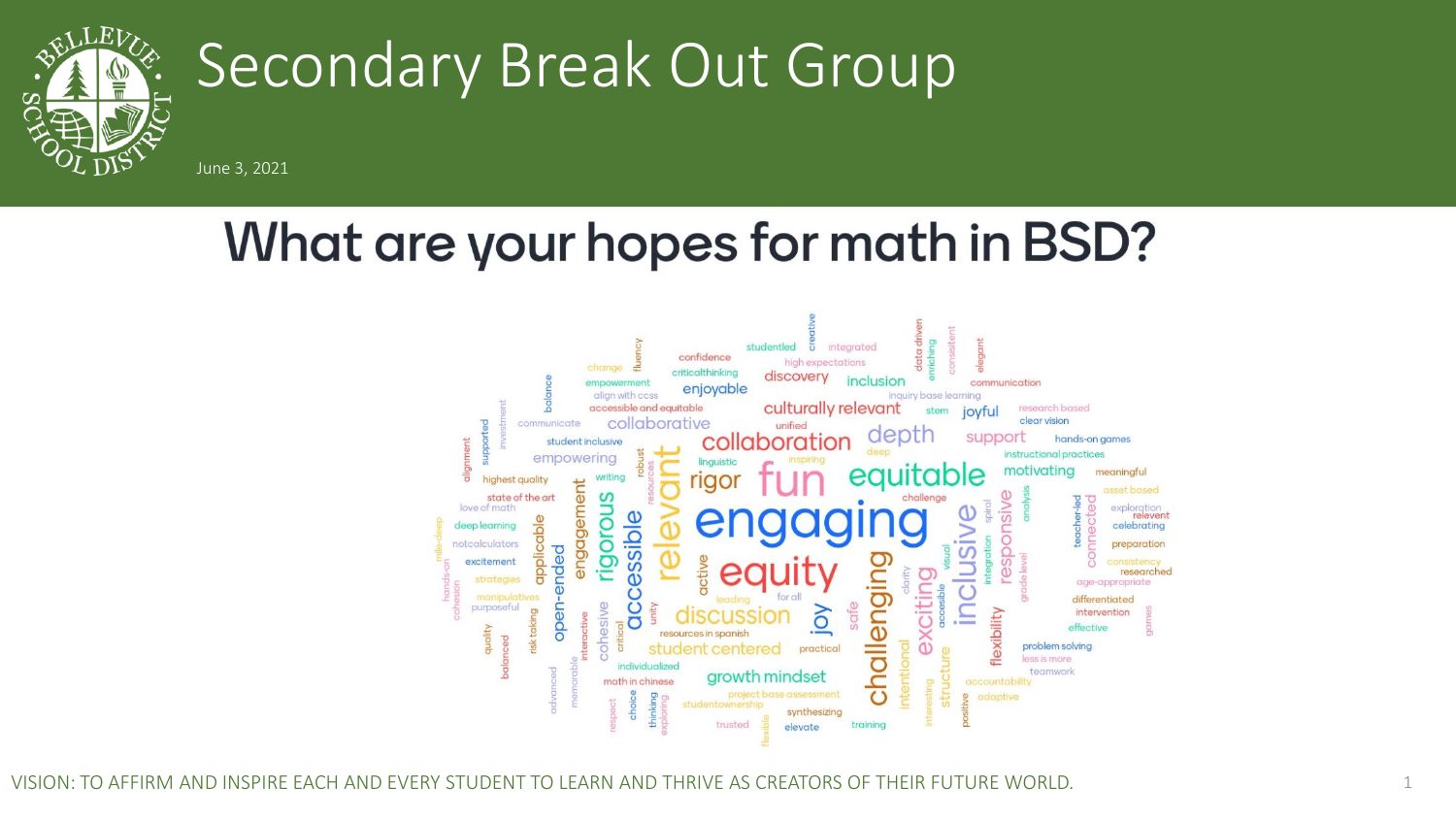

# Secondary Break Out Group

June 3, 2021

## What are your hopes for math in BSD?



VISION: TO AFFIRM AND INSPIRE EACH AND EVERY STUDENT TO LEARN AND THRIVE AS CREATORS OF THEIR FUTURE WORLD. 1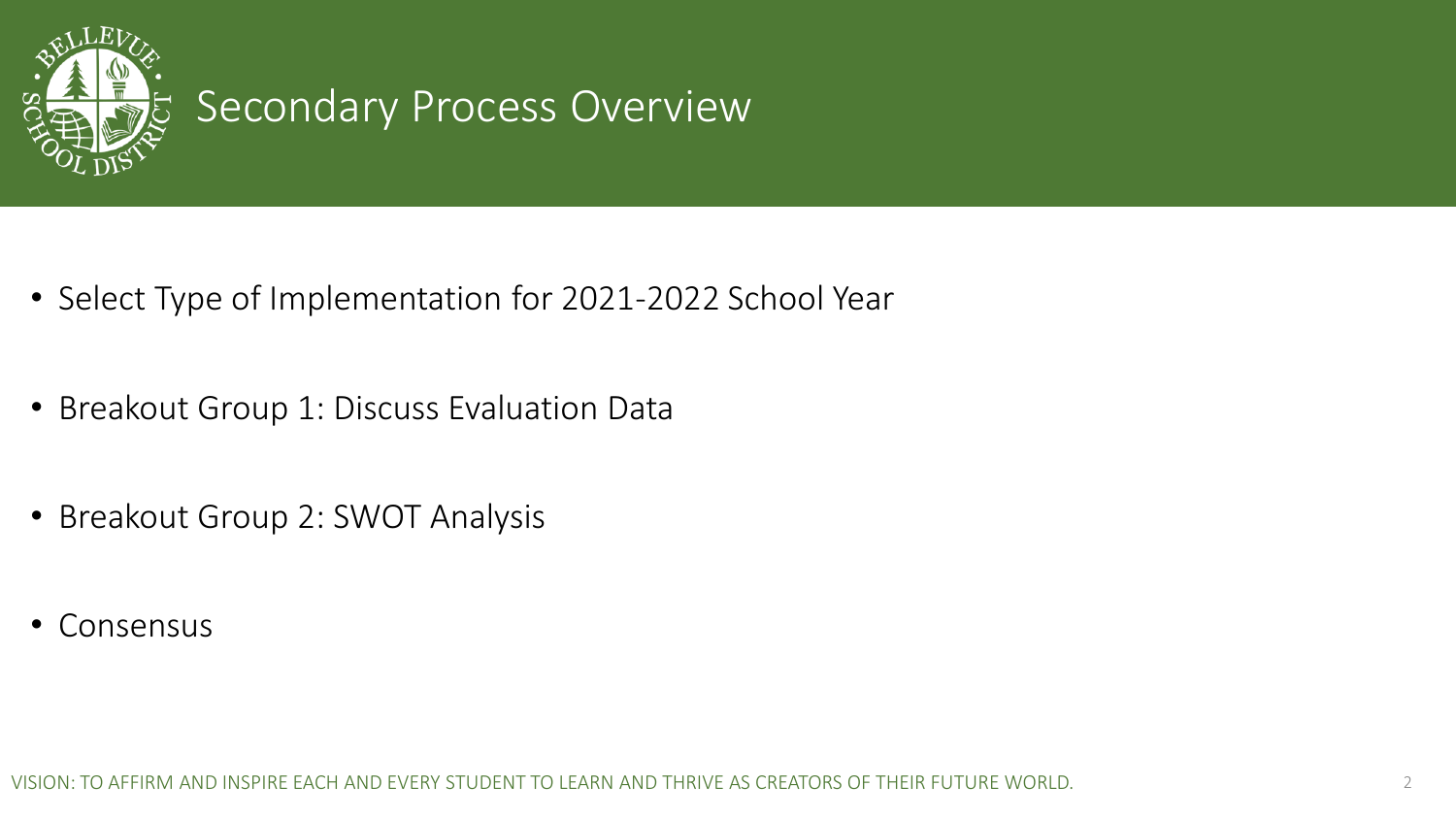

#### Secondary Process Overview

- Select Type of Implementation for 2021-2022 School Year
- Breakout Group 1: Discuss Evaluation Data
- Breakout Group 2: SWOT Analysis
- Consensus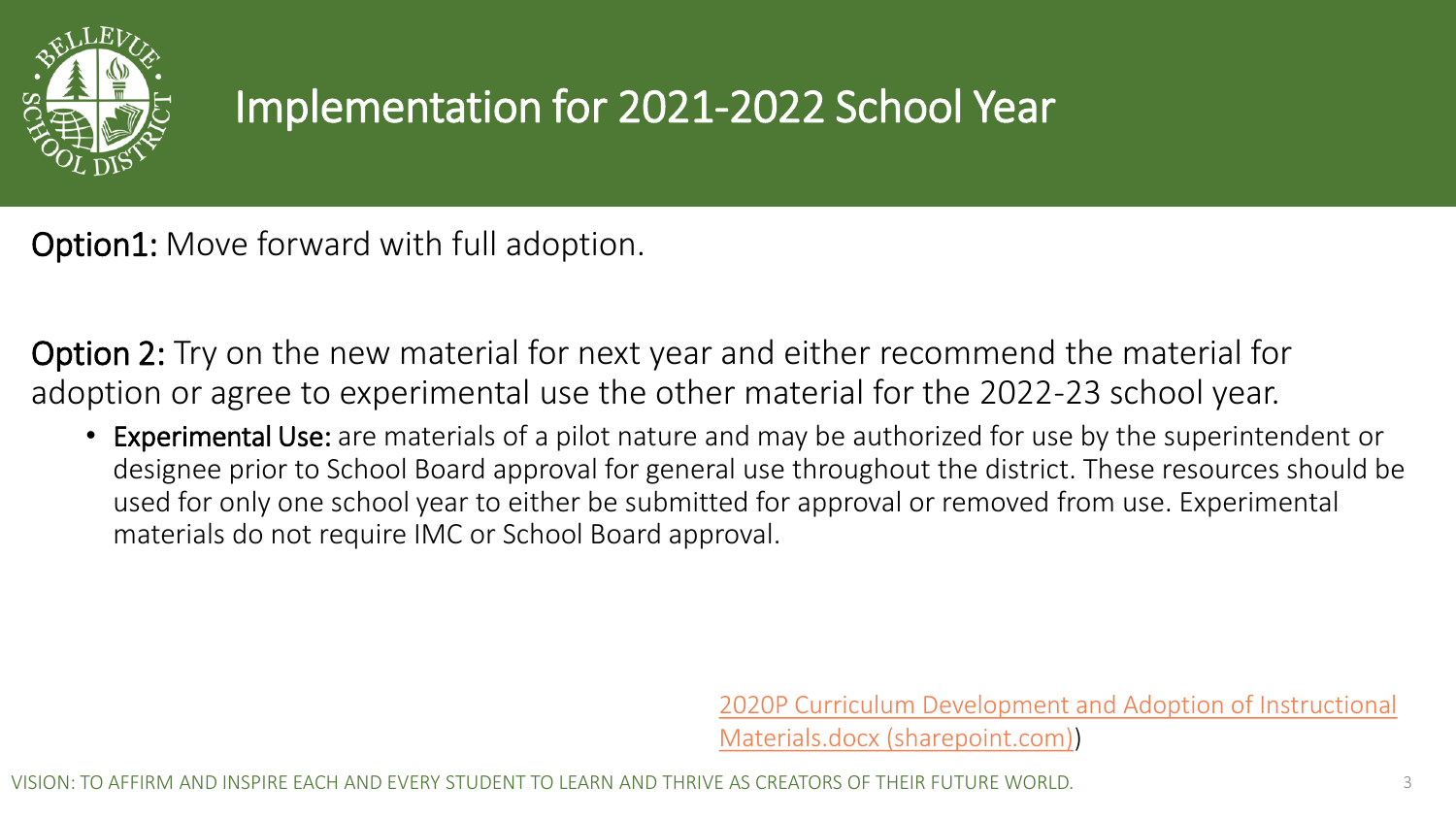

## Implementation for 2021-2022 School Year

Option1: Move forward with full adoption.

Option 2: Try on the new material for next year and either recommend the material for adoption or agree to experimental use the other material for the 2022-23 school year.

• Experimental Use: are materials of a pilot nature and may be authorized for use by the superintendent or designee prior to School Board approval for general use throughout the district. These resources should be used for only one school year to either be submitted for approval or removed from use. Experimental materials do not require IMC or School Board approval.

> [2020P Curriculum Development and Adoption of Instructional](https://bsd405.sharepoint.com/:w:/r/sites/curriculum/Department/_layouts/15/Doc.aspx?sourcedoc=%7BCEFE8953-FCD0-453B-B2E0-C04B91ED0443%7D&file=2020P%20Curriculum%20Development%20and%20Adoption%20of%20Instructional%20Materials.docx&action=default&mobileredirect=true)  Materials.docx (sharepoint.com))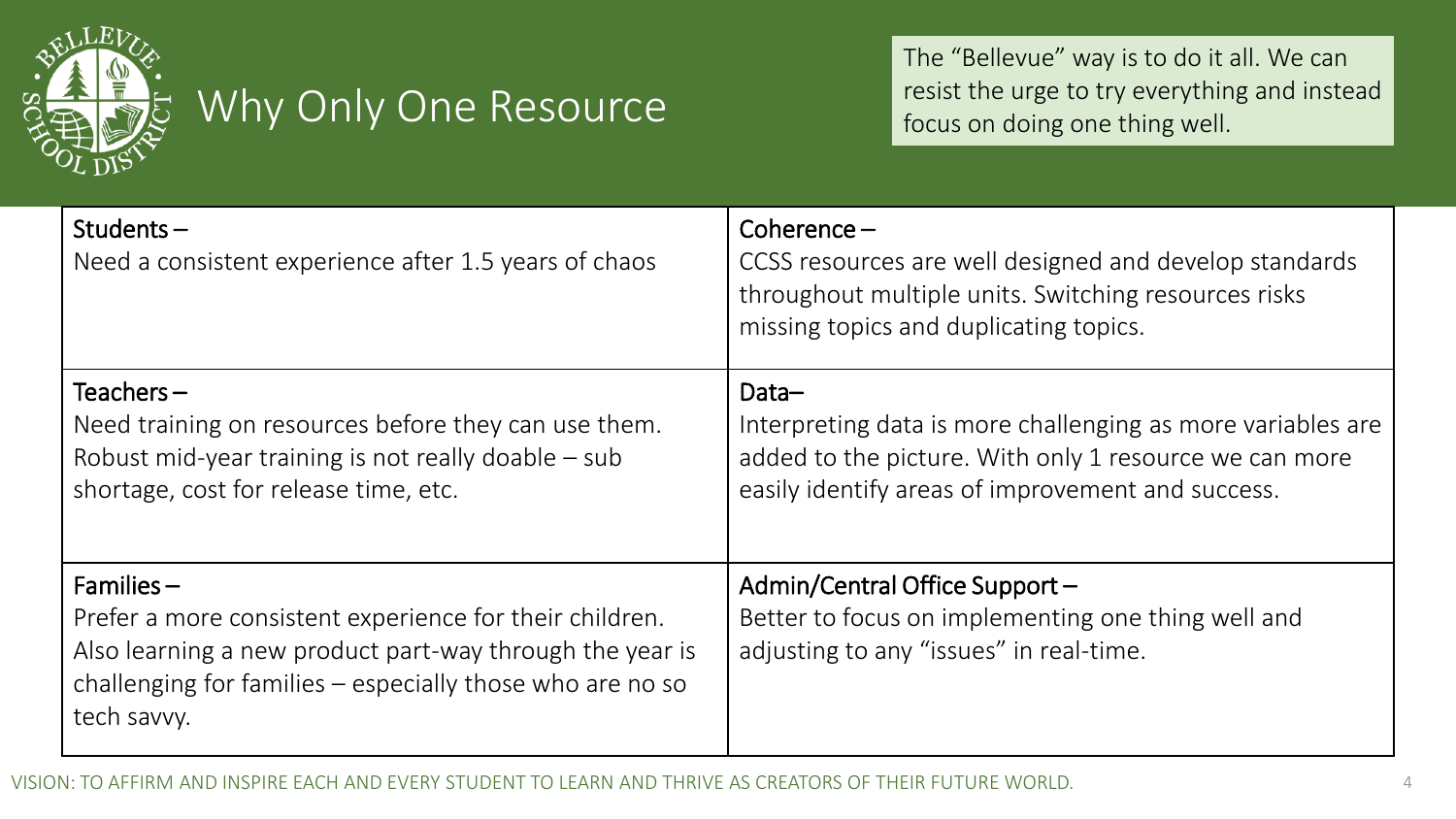

#### Why Only One Resource

The "Bellevue" way is to do it all. We can resist the urge to try everything and instead focus on doing one thing well.

| Students $-$<br>Need a consistent experience after 1.5 years of chaos                                                                                                                                            | Coherence $-$<br>CCSS resources are well designed and develop standards<br>throughout multiple units. Switching resources risks<br>missing topics and duplicating topics.           |
|------------------------------------------------------------------------------------------------------------------------------------------------------------------------------------------------------------------|-------------------------------------------------------------------------------------------------------------------------------------------------------------------------------------|
| Teachers $-$<br>Need training on resources before they can use them.<br>Robust mid-year training is not really doable - sub<br>shortage, cost for release time, etc.                                             | Data-<br>Interpreting data is more challenging as more variables are<br>added to the picture. With only 1 resource we can more<br>easily identify areas of improvement and success. |
| $F$ amilies –<br>Prefer a more consistent experience for their children.<br>Also learning a new product part-way through the year is<br>challenging for families – especially those who are no so<br>tech savvy. | Admin/Central Office Support -<br>Better to focus on implementing one thing well and<br>adjusting to any "issues" in real-time.                                                     |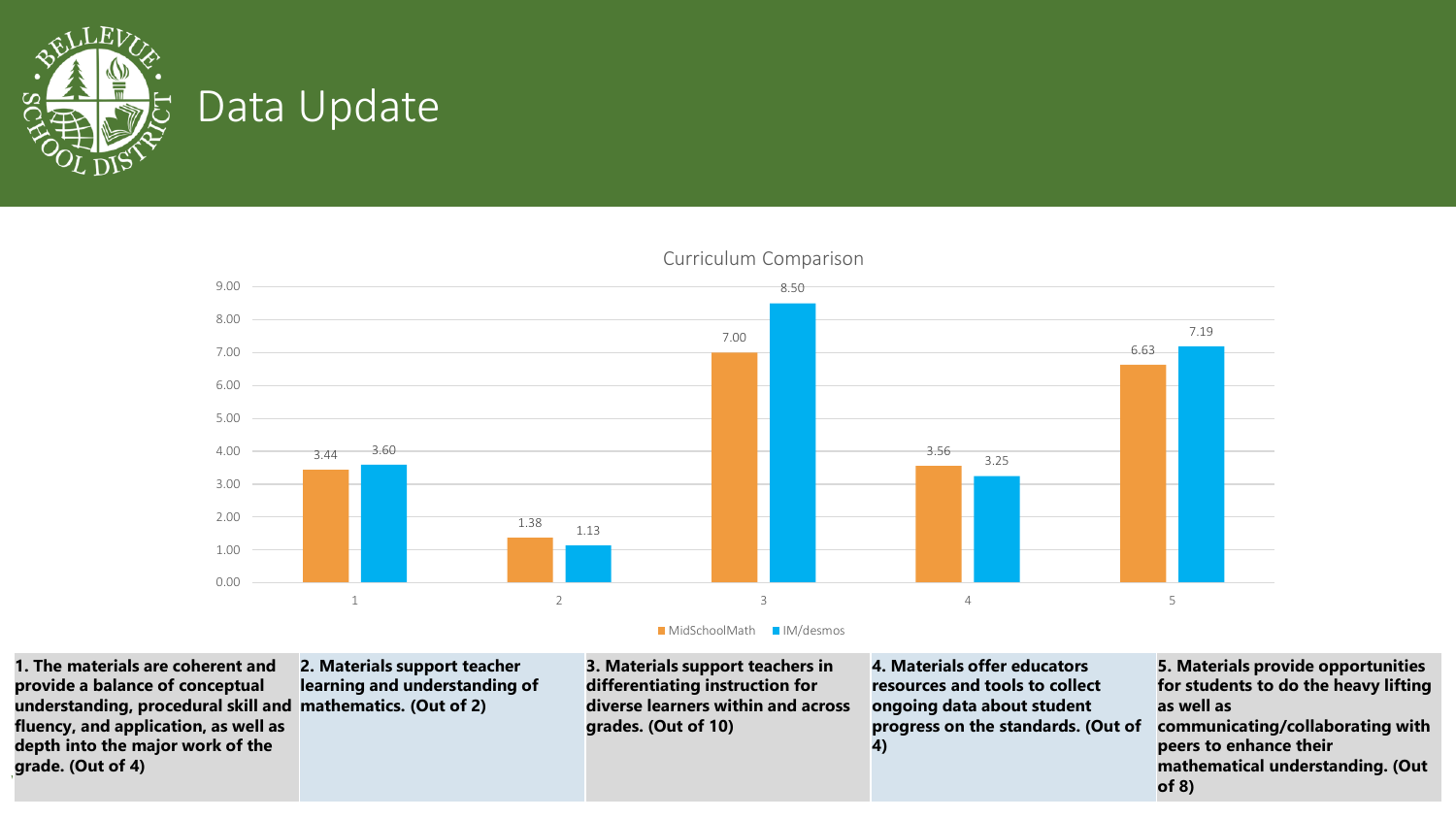

#### Data Update





**1. The materials are coherent and provide a balance of conceptual understanding, procedural skill and mathematics. (Out of 2) fluency, and application, as well as depth into the major work of the grade. (Out of 4)**

**2. Materials support teacher learning and understanding of** 

**3. Materials support teachers in differentiating instruction for diverse learners within and across grades. (Out of 10)**

**4. Materials offer educators resources and tools to collect ongoing data about student progress on the standards. (Out of 4)**

VISION: TO AFFIRM AND INSPIRE EACH AND EVERY STUDENT TO LEARN AND THRIVE AS CREATORS OF THEIR FUTURE WORLD. 5 **5. Materials provide opportunities for students to do the heavy lifting as well as communicating/collaborating with peers to enhance their mathematical understanding. (Out of 8)**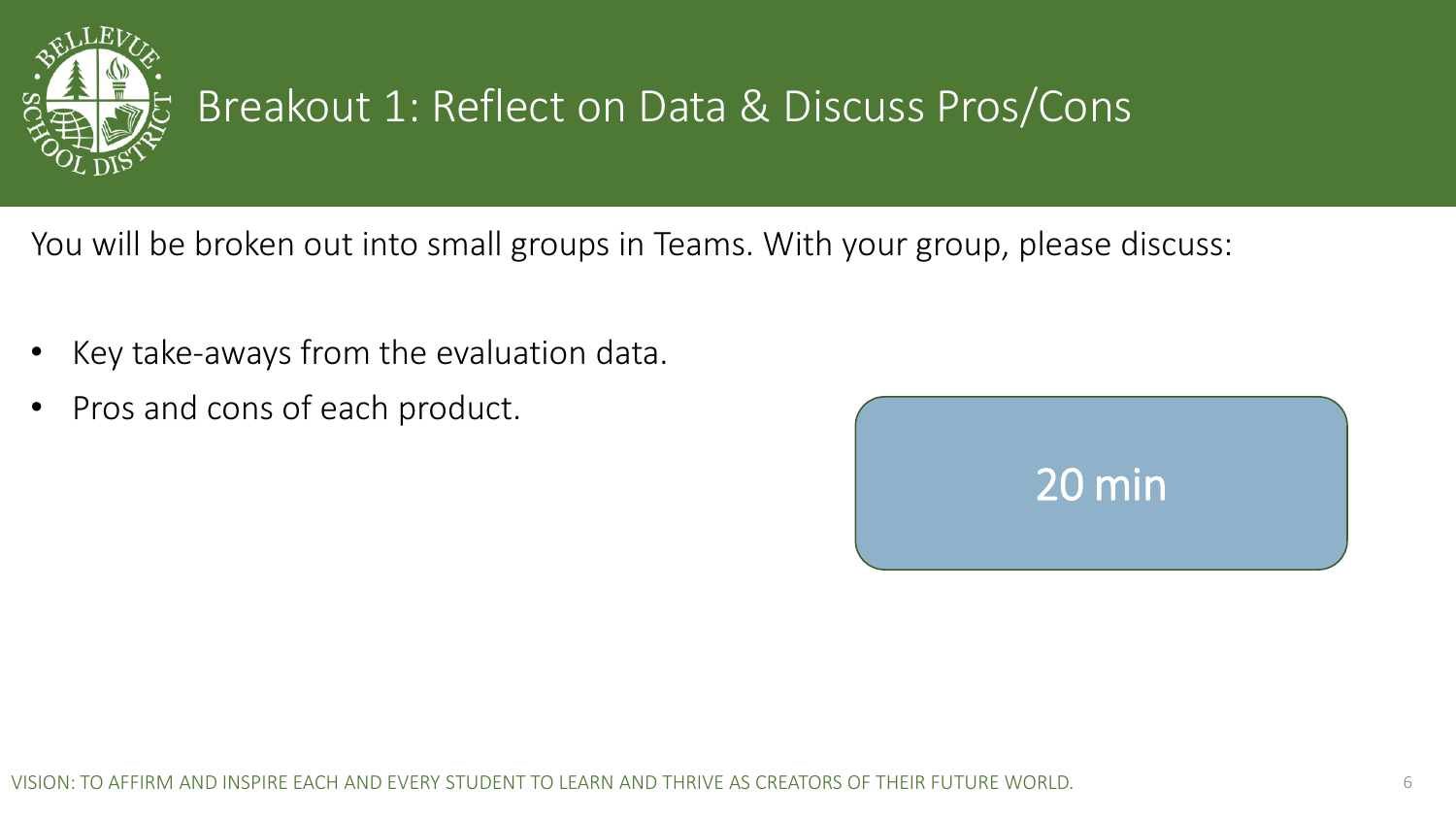

#### Breakout 1: Reflect on Data & Discuss Pros/Cons

You will be broken out into small groups in Teams. With your group, please discuss:

- Key take-aways from the evaluation data.
- Pros and cons of each product.

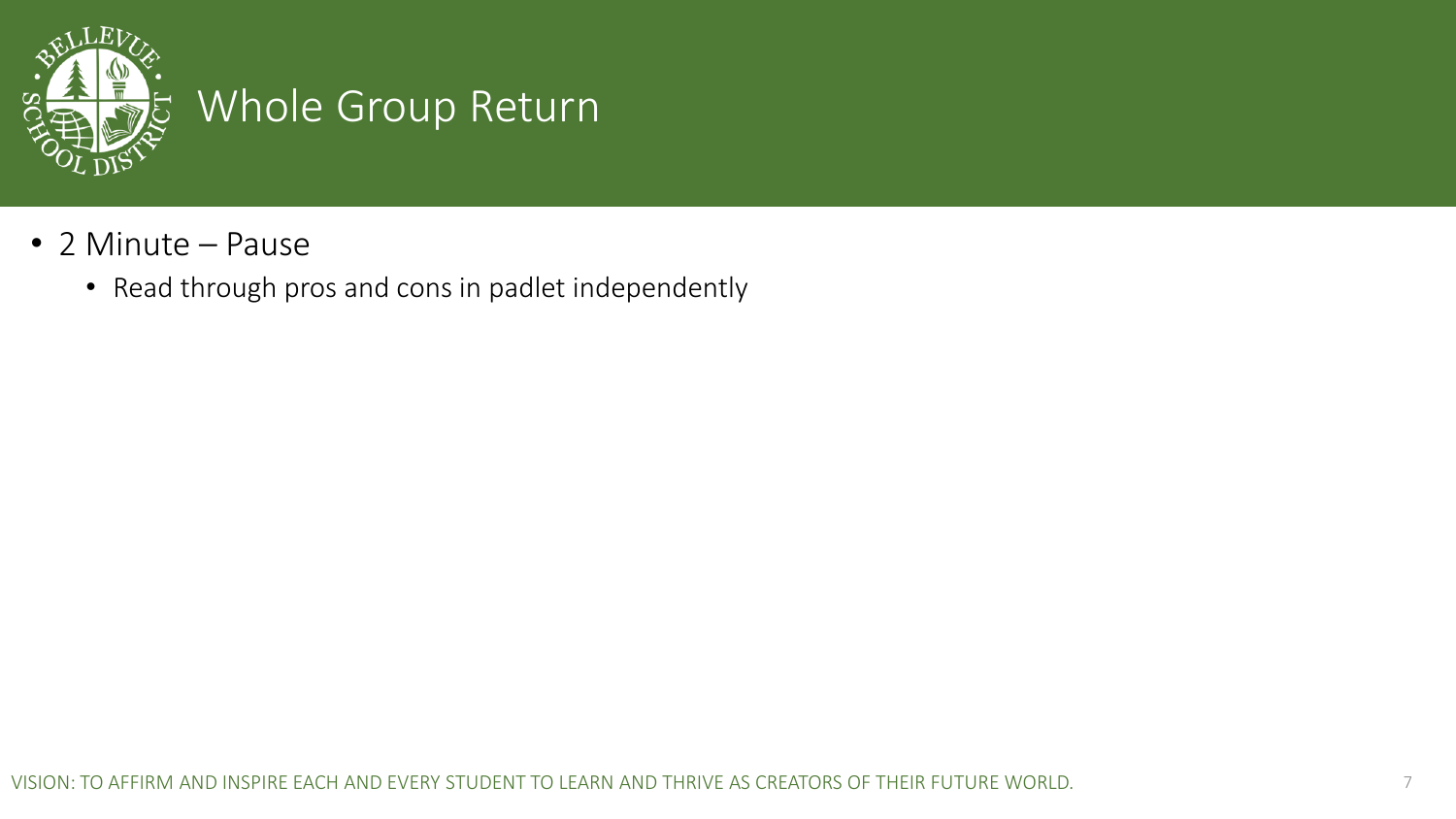

#### Whole Group Return

- 2 Minute Pause
	- Read through pros and cons in padlet independently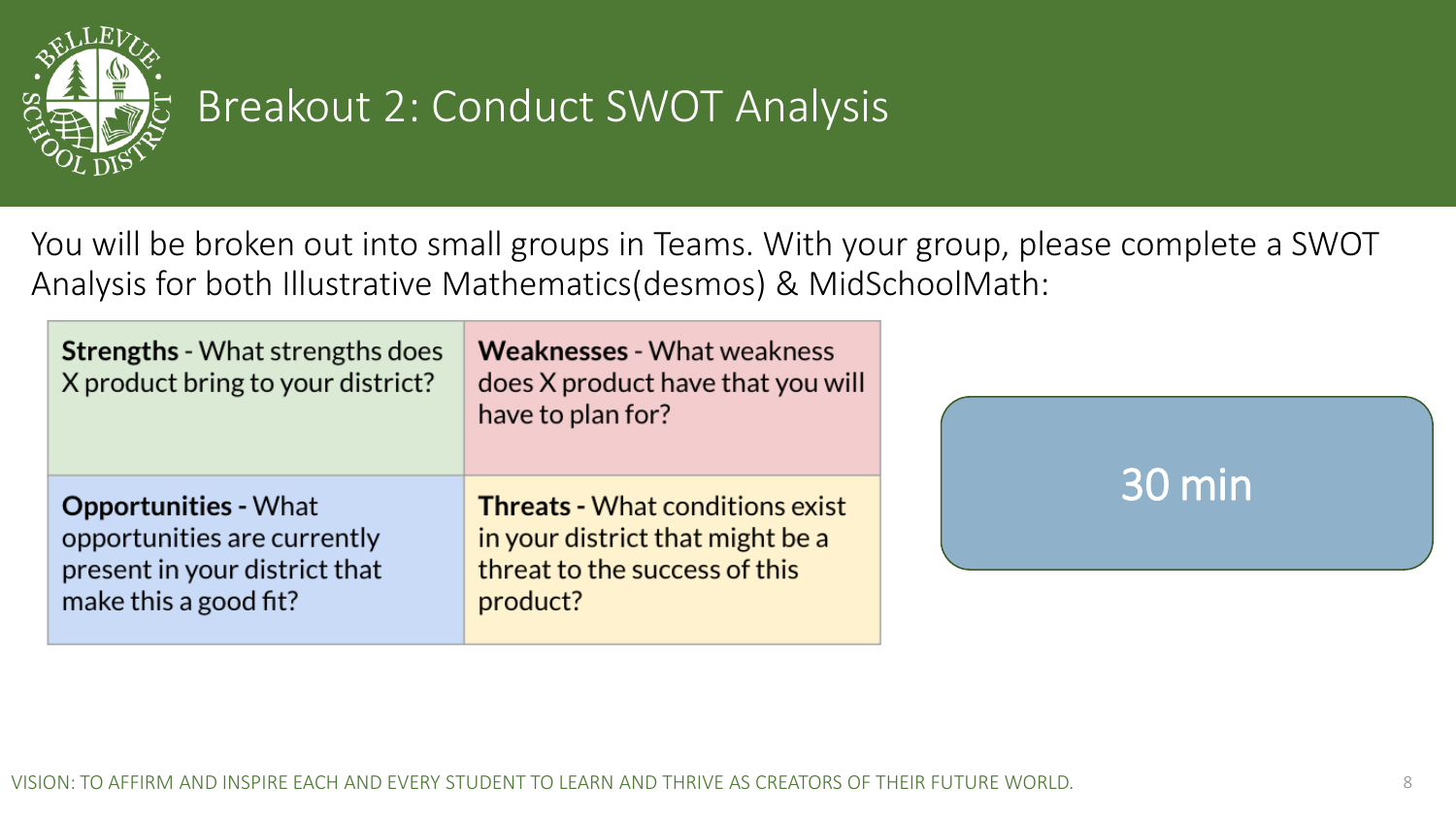

#### Breakout 2: Conduct SWOT Analysis

You will be broken out into small groups in Teams. With your group, please complete a SWOT Analysis for both Illustrative Mathematics(desmos) & MidSchoolMath:

| <b>Strengths - What strengths does</b><br>X product bring to your district?                                          | <b>Weaknesses - What weakness</b><br>does X product have that you will<br>have to plan for?                             |        |
|----------------------------------------------------------------------------------------------------------------------|-------------------------------------------------------------------------------------------------------------------------|--------|
| <b>Opportunities - What</b><br>opportunities are currently<br>present in your district that<br>make this a good fit? | <b>Threats - What conditions exist</b><br>in your district that might be a<br>threat to the success of this<br>product? | 30 min |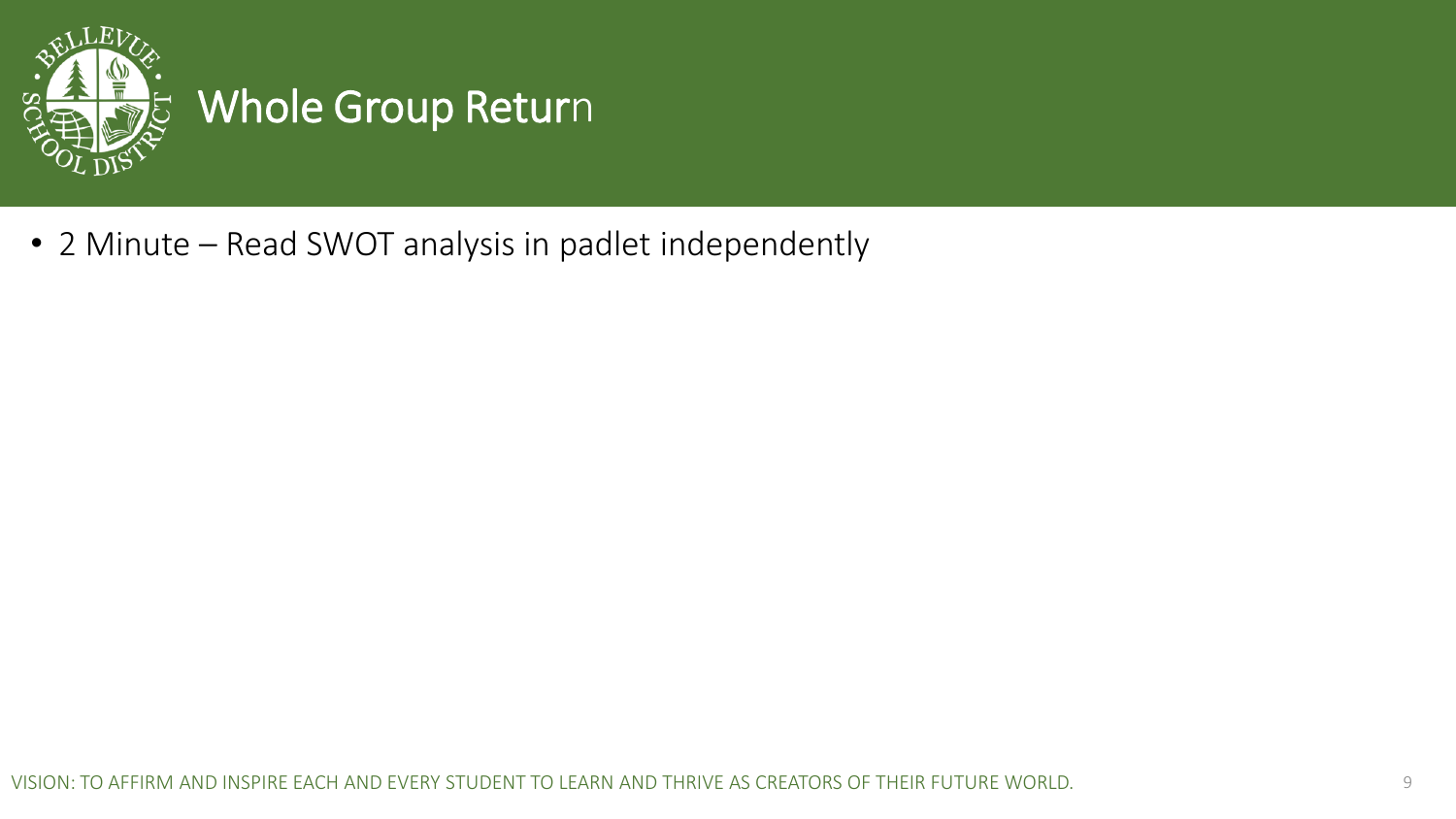

## Whole Group Return

• 2 Minute – Read SWOT analysis in padlet independently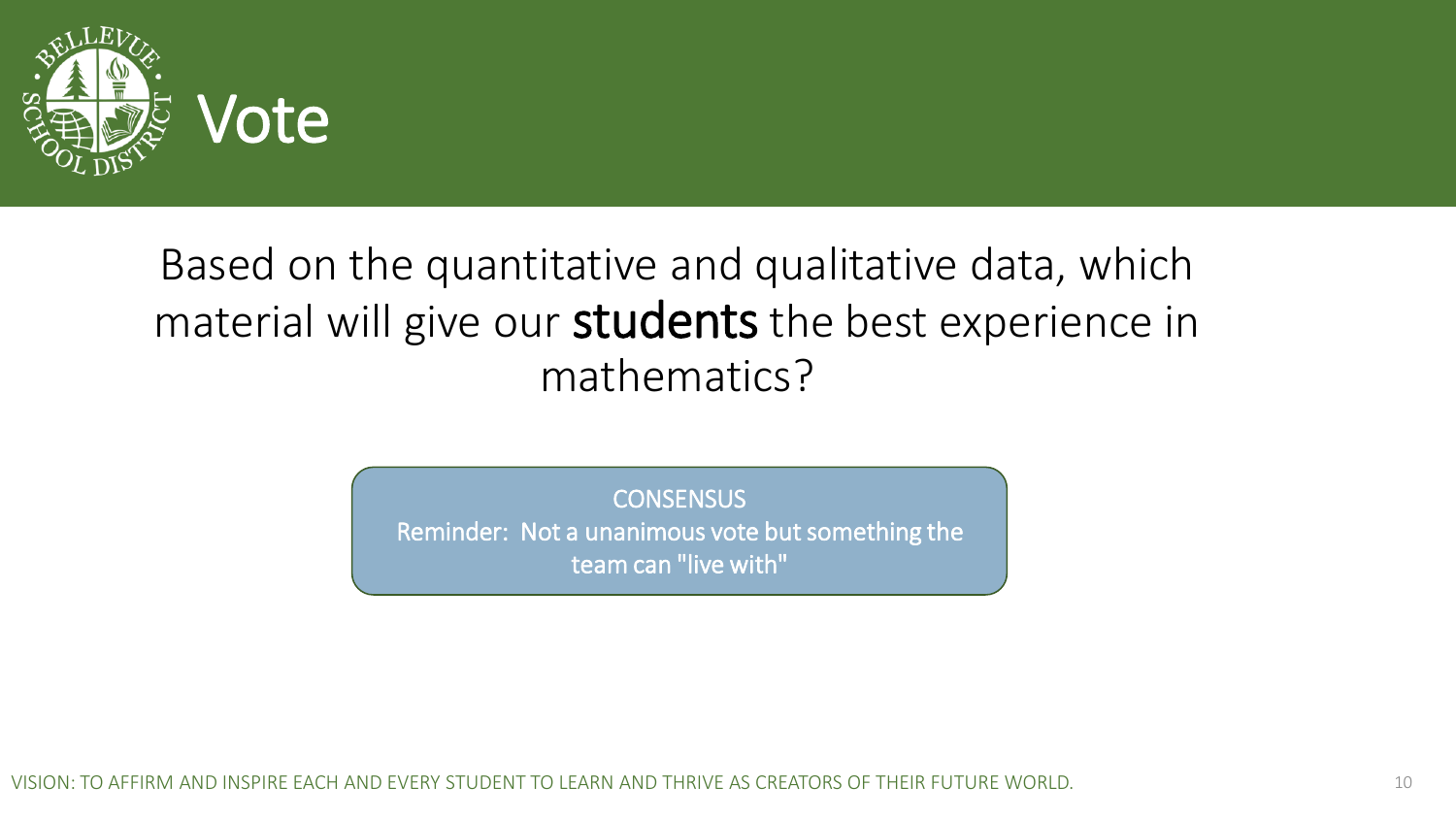

#### Based on the quantitative and qualitative data, which material will give our students the best experience in mathematics?

**CONSENSUS** 

Reminder: Not a unanimous vote but something the team can "live with"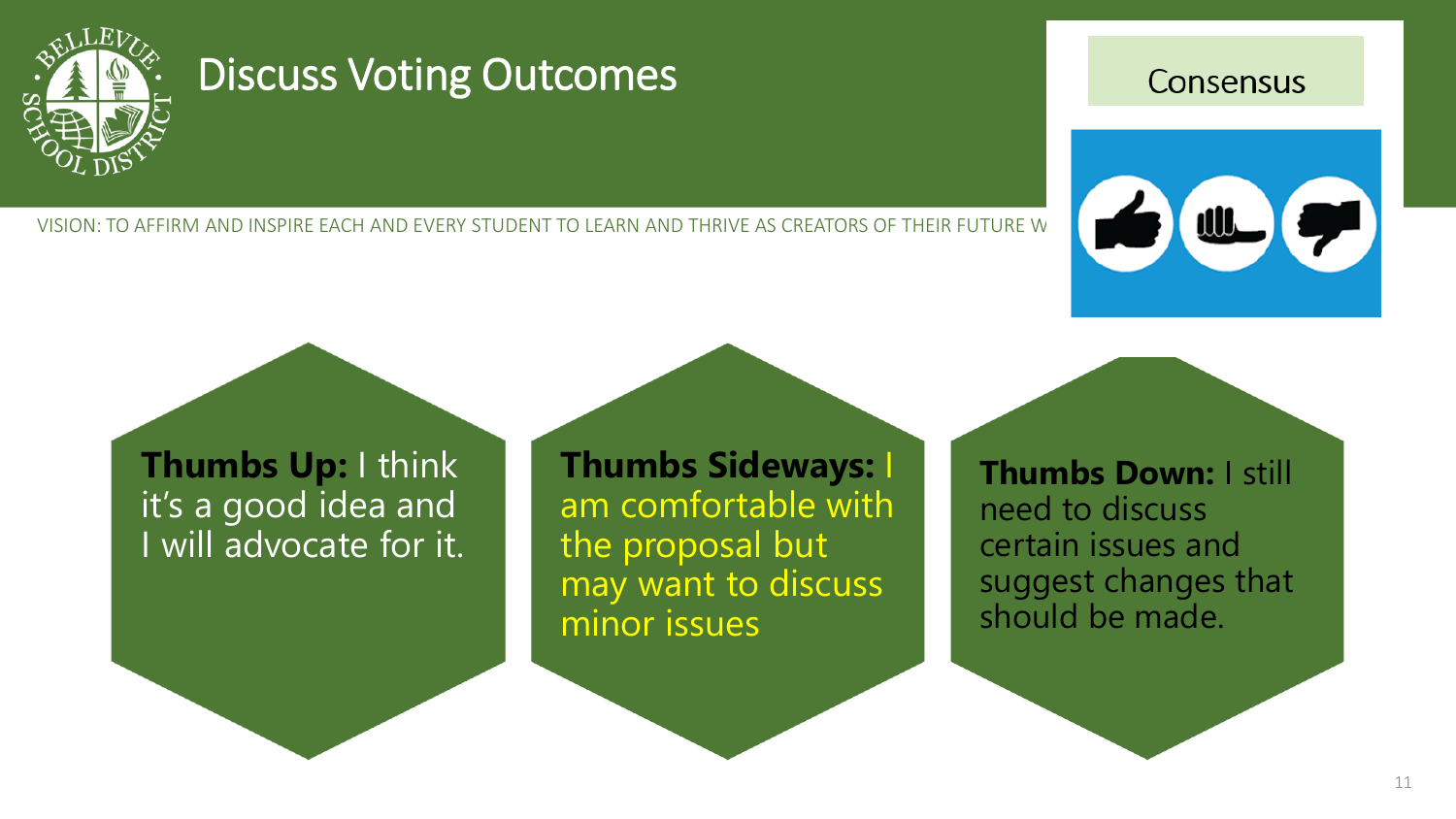

#### Discuss Voting Outcomes

VISION: TO AFFIRM AND INSPIRE EACH AND EVERY STUDENT TO LEARN AND THRIVE AS CREATORS OF THEIR FUTURE W

#### Consensus



**Thumbs Up:** I think it's a good idea and I will advocate for it. **Thumbs Sideways:** I am comfortable with the proposal but may want to discuss minor issues

**Thumbs Down:** I still need to discuss certain issues and suggest changes that should be made.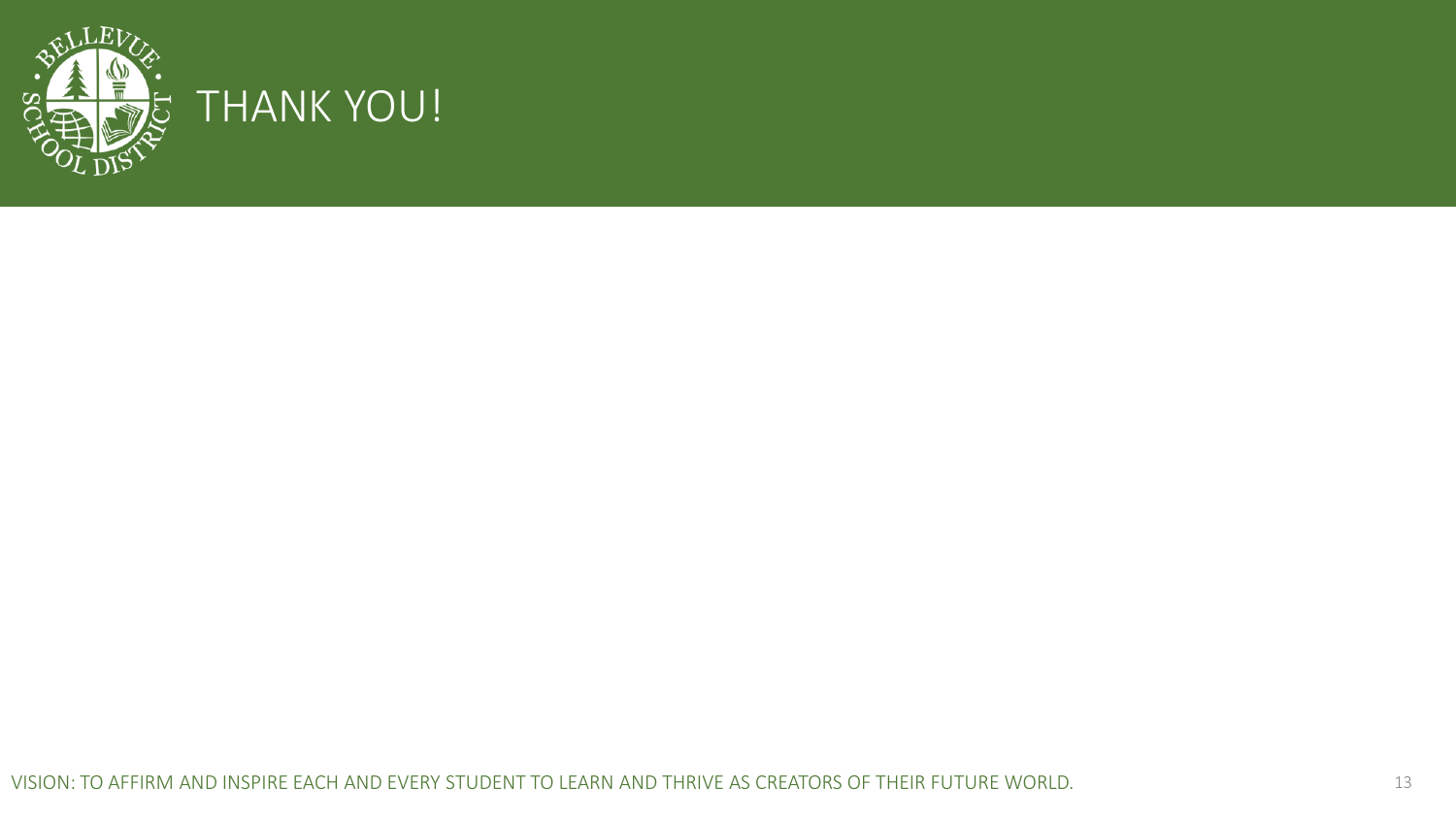

#### THANK YOU!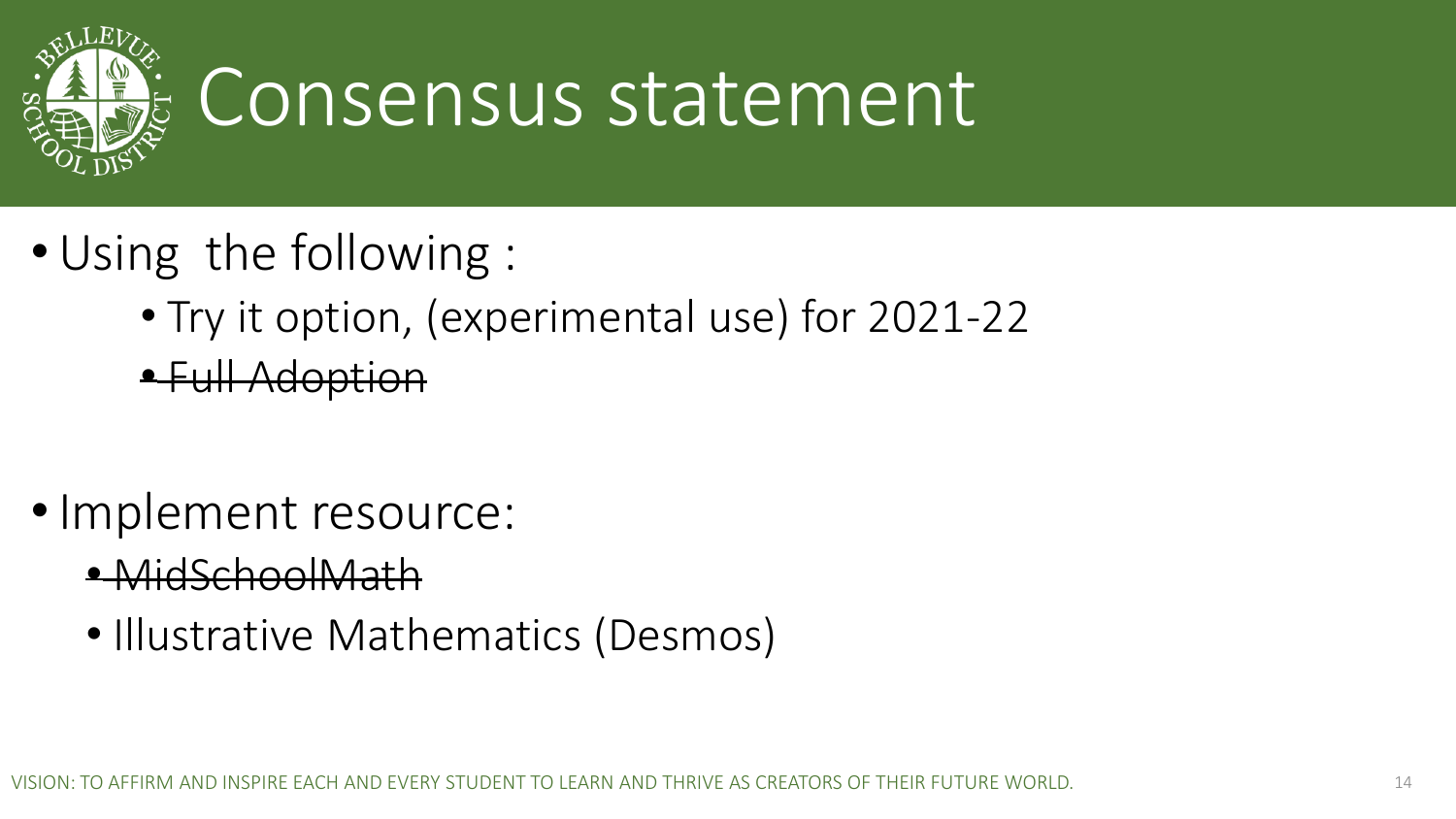

# Consensus statement

- •Using the following :
	- Try it option, (experimental use) for 2021-22
	- Full Adoption
- Implement resource:
	- MidSchoolMath
	- Illustrative Mathematics (Desmos)